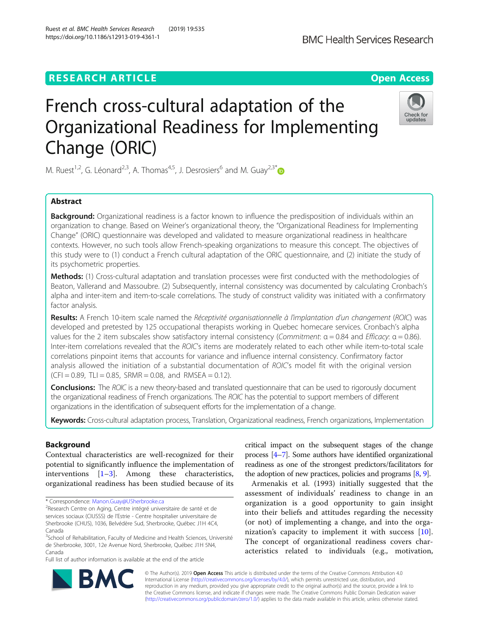# **RESEARCH ARTICLE Example 2018 12:30 THE Open Access**

# French cross-cultural adaptation of the Organizational Readiness for Implementing Change (ORIC)

M. Ruest<sup>1,2</sup>, G. Léonard<sup>2,3</sup>, A. Thomas<sup>4,5</sup>, J. Desrosiers<sup>6</sup> and M. Guay<sup>2,3\*</sup>

# Abstract

Background: Organizational readiness is a factor known to influence the predisposition of individuals within an organization to change. Based on Weiner's organizational theory, the "Organizational Readiness for Implementing Change" (ORIC) questionnaire was developed and validated to measure organizational readiness in healthcare contexts. However, no such tools allow French-speaking organizations to measure this concept. The objectives of this study were to (1) conduct a French cultural adaptation of the ORIC questionnaire, and (2) initiate the study of its psychometric properties.

Methods: (1) Cross-cultural adaptation and translation processes were first conducted with the methodologies of Beaton, Vallerand and Massoubre. (2) Subsequently, internal consistency was documented by calculating Cronbach's alpha and inter-item and item-to-scale correlations. The study of construct validity was initiated with a confirmatory factor analysis.

Results: A French 10-item scale named the Réceptivité organisationnelle à l'implantation d'un changement (ROIC) was developed and pretested by 125 occupational therapists working in Quebec homecare services. Cronbach's alpha values for the 2 item subscales show satisfactory internal consistency (Commitment:  $α = 0.84$  and *Efficacy*:  $α = 0.86$ ). Inter-item correlations revealed that the ROIC's items are moderately related to each other while item-to-total scale correlations pinpoint items that accounts for variance and influence internal consistency. Confirmatory factor analysis allowed the initiation of a substantial documentation of ROIC's model fit with the original version  $(CFI = 0.89, TLI = 0.85, SRMR = 0.08, and RMSEA = 0.12).$ 

**Conclusions:** The ROIC is a new theory-based and translated questionnaire that can be used to rigorously document the organizational readiness of French organizations. The ROIC has the potential to support members of different organizations in the identification of subsequent efforts for the implementation of a change.

Keywords: Cross-cultural adaptation process, Translation, Organizational readiness, French organizations, Implementation

# Background

Contextual characteristics are well-recognized for their potential to significantly influence the implementation of interventions [[1](#page-12-0)–[3](#page-12-0)]. Among these characteristics, organizational readiness has been studied because of its

\* Correspondence: [Manon.Guay@USherbrooke.ca](mailto:Manon.Guay@USherbrooke.ca) <sup>2</sup>

Full list of author information is available at the end of the article

critical impact on the subsequent stages of the change process [\[4](#page-12-0)–[7](#page-12-0)]. Some authors have identified organizational readiness as one of the strongest predictors/facilitators for the adoption of new practices, policies and programs [[8](#page-12-0), [9\]](#page-12-0).

Armenakis et al. (1993) initially suggested that the assessment of individuals' readiness to change in an organization is a good opportunity to gain insight into their beliefs and attitudes regarding the necessity (or not) of implementing a change, and into the organization's capacity to implement it with success [\[10](#page-12-0)]. The concept of organizational readiness covers characteristics related to individuals (e.g., motivation,

© The Author(s). 2019 Open Access This article is distributed under the terms of the Creative Commons Attribution 4.0

International License [\(http://creativecommons.org/licenses/by/4.0/](http://creativecommons.org/licenses/by/4.0/)), which permits unrestricted use, distribution, and reproduction in any medium, provided you give appropriate credit to the original author(s) and the source, provide a link to the Creative Commons license, and indicate if changes were made. The Creative Commons Public Domain Dedication waiver [\(http://creativecommons.org/publicdomain/zero/1.0/](http://creativecommons.org/publicdomain/zero/1.0/)) applies to the data made available in this article, unless otherwise stated.







<sup>&</sup>lt;sup>2</sup>Research Centre on Aging, Centre intégré universitaire de santé et de services sociaux (CIUSSS) de l'Estrie - Centre hospitalier universitaire de Sherbrooke (CHUS), 1036, Belvédère Sud, Sherbrooke, Québec J1H 4C4, Canada

<sup>&</sup>lt;sup>3</sup>School of Rehabilitation, Faculty of Medicine and Health Sciences, Université de Sherbrooke, 3001, 12e Avenue Nord, Sherbrooke, Québec J1H 5N4, Canada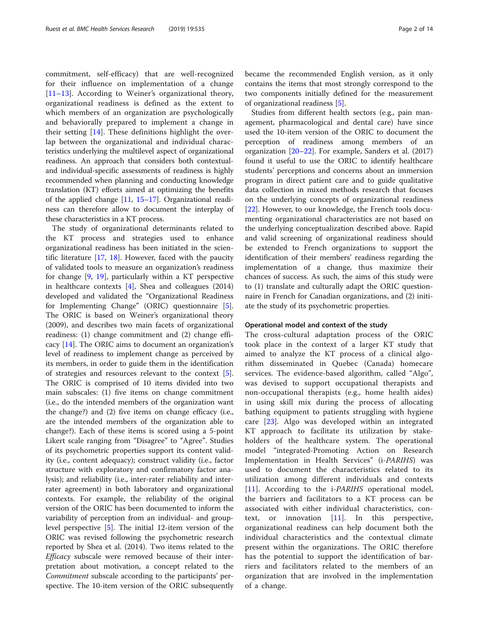commitment, self-efficacy) that are well-recognized for their influence on implementation of a change [[11](#page-12-0)–[13\]](#page-12-0). According to Weiner's organizational theory, organizational readiness is defined as the extent to which members of an organization are psychologically and behaviorally prepared to implement a change in their setting [\[14](#page-12-0)]. These definitions highlight the overlap between the organizational and individual characteristics underlying the multilevel aspect of organizational readiness. An approach that considers both contextualand individual-specific assessments of readiness is highly recommended when planning and conducting knowledge translation (KT) efforts aimed at optimizing the benefits of the applied change [[11](#page-12-0), [15](#page-12-0)–[17\]](#page-12-0). Organizational readiness can therefore allow to document the interplay of these characteristics in a KT process.

The study of organizational determinants related to the KT process and strategies used to enhance organizational readiness has been initiated in the scientific literature [[17](#page-12-0), [18](#page-12-0)]. However, faced with the paucity of validated tools to measure an organization's readiness for change [\[9](#page-12-0), [19](#page-12-0)], particularly within a KT perspective in healthcare contexts [\[4\]](#page-12-0), Shea and colleagues (2014) developed and validated the "Organizational Readiness for Implementing Change" (ORIC) questionnaire [\[5](#page-12-0)]. The ORIC is based on Weiner's organizational theory (2009), and describes two main facets of organizational readiness: (1) change commitment and (2) change efficacy [\[14](#page-12-0)]. The ORIC aims to document an organization's level of readiness to implement change as perceived by its members, in order to guide them in the identification of strategies and resources relevant to the context [\[5](#page-12-0)]. The ORIC is comprised of 10 items divided into two main subscales: (1) five items on change commitment (i.e., do the intended members of the organization want the change?) and (2) five items on change efficacy (i.e., are the intended members of the organization able to change?). Each of these items is scored using a 5-point Likert scale ranging from "Disagree" to "Agree". Studies of its psychometric properties support its content validity (i.e., content adequacy); construct validity (i.e., factor structure with exploratory and confirmatory factor analysis); and reliability (i.e., inter-rater reliability and interrater agreement) in both laboratory and organizational contexts. For example, the reliability of the original version of the ORIC has been documented to inform the variability of perception from an individual- and grouplevel perspective [[5\]](#page-12-0). The initial 12-item version of the ORIC was revised following the psychometric research reported by Shea et al. (2014). Two items related to the Efficacy subscale were removed because of their interpretation about motivation, a concept related to the Commitment subscale according to the participants' perspective. The 10-item version of the ORIC subsequently

became the recommended English version, as it only contains the items that most strongly correspond to the two components initially defined for the measurement of organizational readiness [\[5](#page-12-0)].

Studies from different health sectors (e.g., pain management, pharmacological and dental care) have since used the 10-item version of the ORIC to document the perception of readiness among members of an organization [\[20](#page-12-0)–[22\]](#page-12-0). For example, Sanders et al. (2017) found it useful to use the ORIC to identify healthcare students' perceptions and concerns about an immersion program in direct patient care and to guide qualitative data collection in mixed methods research that focuses on the underlying concepts of organizational readiness [[22\]](#page-12-0). However, to our knowledge, the French tools documenting organizational characteristics are not based on the underlying conceptualization described above. Rapid and valid screening of organizational readiness should be extended to French organizations to support the identification of their members' readiness regarding the implementation of a change, thus maximize their chances of success. As such, the aims of this study were to (1) translate and culturally adapt the ORIC questionnaire in French for Canadian organizations, and (2) initiate the study of its psychometric properties.

### Operational model and context of the study

The cross-cultural adaptation process of the ORIC took place in the context of a larger KT study that aimed to analyze the KT process of a clinical algorithm disseminated in Quebec (Canada) homecare services. The evidence-based algorithm, called "Algo", was devised to support occupational therapists and non-occupational therapists (e.g., home health aides) in using skill mix during the process of allocating bathing equipment to patients struggling with hygiene care [\[23](#page-12-0)]. Algo was developed within an integrated KT approach to facilitate its utilization by stakeholders of the healthcare system. The operational model "integrated-Promoting Action on Research Implementation in Health Services" (i-PARIHS) was used to document the characteristics related to its utilization among different individuals and contexts [[11\]](#page-12-0). According to the *i-PARIHS* operational model, the barriers and facilitators to a KT process can be associated with either individual characteristics, context, or innovation  $[11]$  $[11]$ . In this perspective, organizational readiness can help document both the individual characteristics and the contextual climate present within the organizations. The ORIC therefore has the potential to support the identification of barriers and facilitators related to the members of an organization that are involved in the implementation of a change.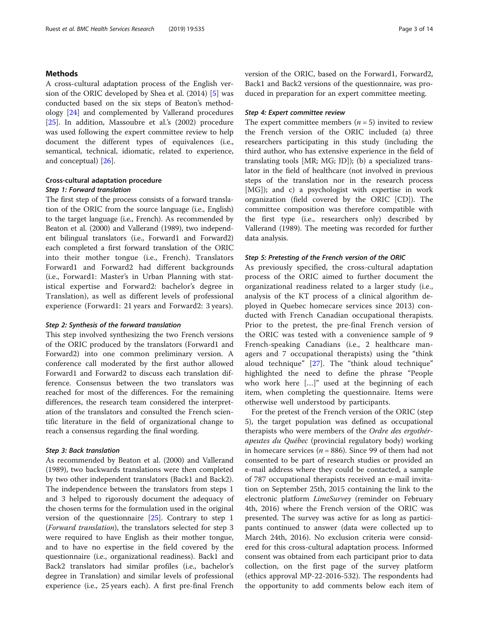# Methods

A cross-cultural adaptation process of the English version of the ORIC developed by Shea et al. (2014) [\[5](#page-12-0)] was conducted based on the six steps of Beaton's methodology [\[24\]](#page-12-0) and complemented by Vallerand procedures [[25\]](#page-12-0). In addition, Massoubre et al.'s (2002) procedure was used following the expert committee review to help document the different types of equivalences (i.e., semantical, technical, idiomatic, related to experience, and conceptual) [\[26](#page-13-0)].

# Cross-cultural adaptation procedure Step 1: Forward translation

The first step of the process consists of a forward translation of the ORIC from the source language (i.e., English) to the target language (i.e., French). As recommended by Beaton et al. (2000) and Vallerand (1989), two independent bilingual translators (i.e., Forward1 and Forward2) each completed a first forward translation of the ORIC into their mother tongue (i.e., French). Translators Forward1 and Forward2 had different backgrounds (i.e., Forward1: Master's in Urban Planning with statistical expertise and Forward2: bachelor's degree in Translation), as well as different levels of professional experience (Forward1: 21 years and Forward2: 3 years).

#### Step 2: Synthesis of the forward translation

This step involved synthesizing the two French versions of the ORIC produced by the translators (Forward1 and Forward2) into one common preliminary version. A conference call moderated by the first author allowed Forward1 and Forward2 to discuss each translation difference. Consensus between the two translators was reached for most of the differences. For the remaining differences, the research team considered the interpretation of the translators and consulted the French scientific literature in the field of organizational change to reach a consensus regarding the final wording.

#### Step 3: Back translation

As recommended by Beaton et al. (2000) and Vallerand (1989), two backwards translations were then completed by two other independent translators (Back1 and Back2). The independence between the translators from steps 1 and 3 helped to rigorously document the adequacy of the chosen terms for the formulation used in the original version of the questionnaire [\[25](#page-12-0)]. Contrary to step 1 (Forward translation), the translators selected for step 3 were required to have English as their mother tongue, and to have no expertise in the field covered by the questionnaire (i.e., organizational readiness). Back1 and Back2 translators had similar profiles (i.e., bachelor's degree in Translation) and similar levels of professional experience (i.e., 25 years each). A first pre-final French version of the ORIC, based on the Forward1, Forward2, Back1 and Back2 versions of the questionnaire, was produced in preparation for an expert committee meeting.

# Step 4: Expert committee review

The expert committee members ( $n = 5$ ) invited to review the French version of the ORIC included (a) three researchers participating in this study (including the third author, who has extensive experience in the field of translating tools [MR; MG; JD]); (b) a specialized translator in the field of healthcare (not involved in previous steps of the translation nor in the research process [MG]); and c) a psychologist with expertise in work organization (field covered by the ORIC [CD]). The committee composition was therefore compatible with the first type (i.e., researchers only) described by Vallerand (1989). The meeting was recorded for further data analysis.

### Step 5: Pretesting of the French version of the ORIC

As previously specified, the cross-cultural adaptation process of the ORIC aimed to further document the organizational readiness related to a larger study (i.e., analysis of the KT process of a clinical algorithm deployed in Quebec homecare services since 2013) conducted with French Canadian occupational therapists. Prior to the pretest, the pre-final French version of the ORIC was tested with a convenience sample of 9 French-speaking Canadians (i.e., 2 healthcare managers and 7 occupational therapists) using the "think aloud technique" [\[27](#page-13-0)]. The "think aloud technique" highlighted the need to define the phrase "People who work here […]" used at the beginning of each item, when completing the questionnaire. Items were otherwise well understood by participants.

For the pretest of the French version of the ORIC (step 5), the target population was defined as occupational therapists who were members of the Ordre des ergothérapeutes du Québec (provincial regulatory body) working in homecare services ( $n = 886$ ). Since 99 of them had not consented to be part of research studies or provided an e-mail address where they could be contacted, a sample of 787 occupational therapists received an e-mail invitation on September 25th, 2015 containing the link to the electronic platform LimeSurvey (reminder on February 4th, 2016) where the French version of the ORIC was presented. The survey was active for as long as participants continued to answer (data were collected up to March 24th, 2016). No exclusion criteria were considered for this cross-cultural adaptation process. Informed consent was obtained from each participant prior to data collection, on the first page of the survey platform (ethics approval MP-22-2016-532). The respondents had the opportunity to add comments below each item of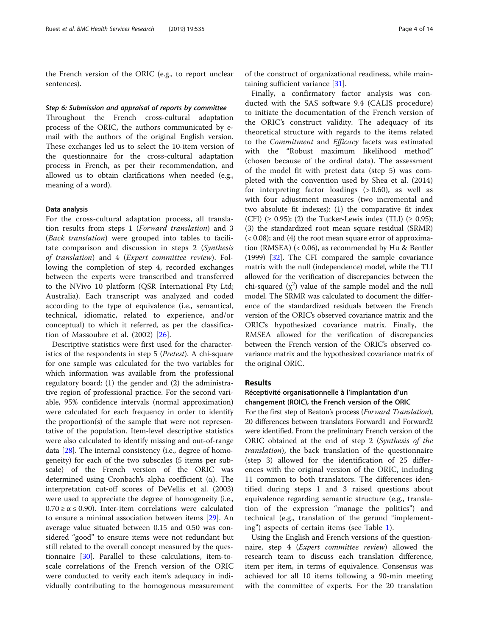the French version of the ORIC (e.g., to report unclear sentences).

#### Step 6: Submission and appraisal of reports by committee

Throughout the French cross-cultural adaptation process of the ORIC, the authors communicated by email with the authors of the original English version. These exchanges led us to select the 10-item version of the questionnaire for the cross-cultural adaptation process in French, as per their recommendation, and allowed us to obtain clarifications when needed (e.g., meaning of a word).

#### Data analysis

For the cross-cultural adaptation process, all translation results from steps 1 (Forward translation) and 3 (Back translation) were grouped into tables to facilitate comparison and discussion in steps 2 (Synthesis of translation) and 4 (Expert committee review). Following the completion of step 4, recorded exchanges between the experts were transcribed and transferred to the NVivo 10 platform (QSR International Pty Ltd; Australia). Each transcript was analyzed and coded according to the type of equivalence (i.e., semantical, technical, idiomatic, related to experience, and/or conceptual) to which it referred, as per the classification of Massoubre et al. (2002) [\[26](#page-13-0)].

Descriptive statistics were first used for the characteristics of the respondents in step 5 (Pretest). A chi-square for one sample was calculated for the two variables for which information was available from the professional regulatory board: (1) the gender and (2) the administrative region of professional practice. For the second variable, 95% confidence intervals (normal approximation) were calculated for each frequency in order to identify the proportion(s) of the sample that were not representative of the population. Item-level descriptive statistics were also calculated to identify missing and out-of-range data [\[28\]](#page-13-0). The internal consistency (i.e., degree of homogeneity) for each of the two subscales (5 items per subscale) of the French version of the ORIC was determined using Cronbach's alpha coefficient (α). The interpretation cut-off scores of DeVellis et al. (2003) were used to appreciate the degree of homogeneity (i.e.,  $0.70 \ge \alpha \le 0.90$ ). Inter-item correlations were calculated to ensure a minimal association between items [\[29](#page-13-0)]. An average value situated between 0.15 and 0.50 was considered "good" to ensure items were not redundant but still related to the overall concept measured by the questionnaire [\[30](#page-13-0)]. Parallel to these calculations, item-toscale correlations of the French version of the ORIC were conducted to verify each item's adequacy in individually contributing to the homogenous measurement

of the construct of organizational readiness, while maintaining sufficient variance [[31\]](#page-13-0).

Finally, a confirmatory factor analysis was conducted with the SAS software 9.4 (CALIS procedure) to initiate the documentation of the French version of the ORIC's construct validity. The adequacy of its theoretical structure with regards to the items related to the Commitment and Efficacy facets was estimated with the "Robust maximum likelihood method" (chosen because of the ordinal data). The assessment of the model fit with pretest data (step 5) was completed with the convention used by Shea et al. (2014) for interpreting factor loadings  $(> 0.60)$ , as well as with four adjustment measures (two incremental and two absolute fit indexes): (1) the comparative fit index (CFI)  $( \geq 0.95)$ ;  $(2)$  the Tucker-Lewis index (TLI)  $( \geq 0.95)$ ; (3) the standardized root mean square residual (SRMR)  $( $0.08$ ); and (4) the root mean square error of approxima$ tion (RMSEA) (< 0.06), as recommended by Hu & Bentler (1999) [[32](#page-13-0)]. The CFI compared the sample covariance matrix with the null (independence) model, while the TLI allowed for the verification of discrepancies between the chi-squared  $(\chi^2)$  value of the sample model and the null model. The SRMR was calculated to document the difference of the standardized residuals between the French version of the ORIC's observed covariance matrix and the ORIC's hypothesized covariance matrix. Finally, the RMSEA allowed for the verification of discrepancies between the French version of the ORIC's observed covariance matrix and the hypothesized covariance matrix of the original ORIC.

# Results

# Réceptivité organisationnelle à l'implantation d'un changement (ROIC), the French version of the ORIC

For the first step of Beaton's process (Forward Translation), 20 differences between translators Forward1 and Forward2 were identified. From the preliminary French version of the ORIC obtained at the end of step 2 (Synthesis of the translation), the back translation of the questionnaire (step 3) allowed for the identification of 25 differences with the original version of the ORIC, including 11 common to both translators. The differences identified during steps 1 and 3 raised questions about equivalence regarding semantic structure (e.g., translation of the expression "manage the politics") and technical (e.g., translation of the gerund "implementing") aspects of certain items (see Table [1\)](#page-4-0).

Using the English and French versions of the questionnaire, step 4 (Expert committee review) allowed the research team to discuss each translation difference, item per item, in terms of equivalence. Consensus was achieved for all 10 items following a 90-min meeting with the committee of experts. For the 20 translation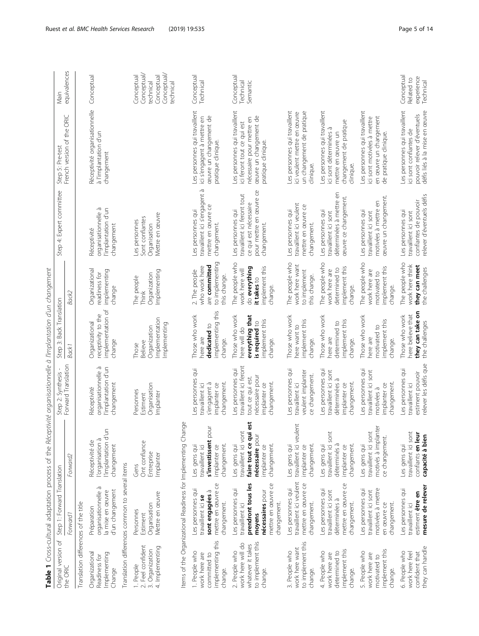<span id="page-4-0"></span>

|                                                                                         |                                                                                                                               | Table 1 Cross-cultural adaptation process of the <i>Réceptivité organisationnelle à l'implantation d'un changement</i> |                                                                                                                   |                                                                                                  |                                                                                              |                                                                                                                     |                                                                                                                                          |                                                                                |
|-----------------------------------------------------------------------------------------|-------------------------------------------------------------------------------------------------------------------------------|------------------------------------------------------------------------------------------------------------------------|-------------------------------------------------------------------------------------------------------------------|--------------------------------------------------------------------------------------------------|----------------------------------------------------------------------------------------------|---------------------------------------------------------------------------------------------------------------------|------------------------------------------------------------------------------------------------------------------------------------------|--------------------------------------------------------------------------------|
| Original version of<br>the ORIC                                                         | Step 1: Forward                                                                                                               | Translation                                                                                                            | Step 2: Synthesis -<br>Forward Translation                                                                        | Step 3: Back Translation                                                                         |                                                                                              | Step 4: Expert committee                                                                                            | French version of the ORIC<br>Step 5: Pre-test                                                                                           | equivalences<br>Main                                                           |
|                                                                                         | -orward1                                                                                                                      | Forward <sub>2</sub>                                                                                                   |                                                                                                                   | Back1                                                                                            | Back2                                                                                        |                                                                                                                     |                                                                                                                                          |                                                                                |
| Translation differences of the title                                                    |                                                                                                                               |                                                                                                                        |                                                                                                                   |                                                                                                  |                                                                                              |                                                                                                                     |                                                                                                                                          |                                                                                |
| Organizational<br>Implementing<br>Readiness for<br>Change                               | d'un changement<br>la mise en œuvre<br>organisationnelle<br>Préparation                                                       | implantation d'un<br>organisation à<br>Réceptivité de<br>changement                                                    | è<br>l'implantation d'un<br>organisationnelle<br>changement<br>Réceptivité                                        | implementation of<br>receptivity to the<br>Organizational<br>change                              | Organizational<br>implementing<br>readiness for<br>change                                    | organisationnelle à<br>l'implantation d'un<br>changement<br>Réceptivité                                             | Réceptivité organisationnelle<br>à l'implantation d'un<br>changement                                                                     | Conceptual                                                                     |
|                                                                                         | Translation differences common to several items                                                                               |                                                                                                                        |                                                                                                                   |                                                                                                  |                                                                                              |                                                                                                                     |                                                                                                                                          |                                                                                |
| 2. Feel confident<br>4. Implementing<br>3. Organization<br>1. People                    | Mettre en œuvre<br>Organisation<br>Personnes<br>Estiment                                                                      | Ont confiance<br>Entreprise<br>Implanter<br>Gens                                                                       | Organisation<br>Personnes<br>Implanter<br>Estiment                                                                | Implementation<br>Implementing<br>Organization<br>Believe<br>Those                               | Implementing<br>Organization<br>The people<br>Think                                          | Mettre en œuvre<br>Sont confiantes<br>Les personnes<br>Organisation                                                 |                                                                                                                                          | Conceptual<br>Conceptual<br>Conceptual<br>Conceptual<br>technical<br>technical |
|                                                                                         | Items of the Organizational Readiness for Implementing Change                                                                 |                                                                                                                        |                                                                                                                   |                                                                                                  |                                                                                              |                                                                                                                     |                                                                                                                                          |                                                                                |
| implementing this<br>1. People who<br>committed to<br>work here are<br>change.          | mettre en œuvre ce<br>Les personnes qui<br>sont engagées<br>travaillent ici se<br>changement.                                 | s'investissent pou<br>changement.<br>Les gens qui<br>implanter ce<br>travaillent ici                                   | Les personnes qui<br>s'engagent à<br>changement.<br>implanter ce<br>travaillent ici                               | implementing this<br>Those who work<br>dedicated to<br>here are<br>change.                       | to implementing<br>are committed<br>who work here<br>2. The people<br>this change.           | travaillent ici s'engagent à<br>mettre en œuvre ce<br>Les personnes qui<br>changement.                              | Les personnes qui travaillent<br>œuvre un changement de<br>ici s'engagent à mettre en<br>pratique clinique.                              | Conceptual<br>Technical                                                        |
| to implement this<br>work here will do<br>whatever it takes<br>2. People who<br>change. | prendront tous les<br>mettre en œuvre ce<br>Les personnes qui<br>nécessaires pour<br>changement.<br>travaillent ici<br>moyens | នូ<br>travaillent ici vont<br>faire tout ce qui<br>nécessaire pour<br>changement.<br>Les gens qui<br>implanter ce      | travaillent ici feront<br>Les personnes qui<br>nécessaire pour<br>tout ce qui est.<br>changement.<br>implanter ce | Those who work<br>everything that<br>implement this<br>is required to<br>here will do<br>change. | The people who<br>implement this<br>do everything<br>work here will<br>it takes to<br>change | pour mettre en œuvre ce<br>travaillent ici feront tout<br>ce qui est nécessaire<br>Les personnes qui<br>changement. | Les personnes qui travaillent<br>œuvre un changement de<br>nécessaire pour mettre en<br>ici feront tout ce qui est<br>pratique clinique. | Conceptual<br>Technical<br>Semantic                                            |
| to implement this<br>work here want<br>3. People who<br>change.                         | travaillent ici veulent<br>mettre en œuvre ce<br>Les personnes qui<br>changement.                                             | travaillent ici veulent<br>changement.<br>implanter ce<br>Les gens qui                                                 | Les personnes qui<br>veulent implanter<br>ce changement.<br>travaillent ici                                       | Those who work<br>implement this<br>here want to<br>change.                                      | The people who<br>work here want<br>to implement<br>this change.                             | travaillent ici veulent<br>mettre en œuvre ce<br>Les personnes qui<br>changement.                                   | Les personnes qui travaillent<br>un changement de pratique<br>ici veulent mettre en œuvre<br>clinique.                                   |                                                                                |
| implement this<br>determined to<br>4. People who<br>work here are<br>change.            | mettre en œuvre ce<br>Les personnes qui<br>travaillent ici sont<br>déterminées à<br>changement.                               | travaillent ici sont<br>déterminés à<br>changement.<br>implanter ce<br>Les gens qui                                    | Les personnes qui<br>travaillent ici sont<br>déterminées à<br>changement.<br>implanter ce                         | Those who work<br>implement this<br>determined to<br>here are<br>change.                         | The people who<br>implement this<br>determined to<br>work here are<br>change.                | déterminées à mettre en<br>œuvre ce changement.<br>Les personnes qui<br>travaillent ici sont                        | Les personnes qui travaillent<br>changement de pratique<br>ici sont déterminées à<br>mettre en œuvre un<br>clinique.                     |                                                                                |
| implement this<br>5. People who<br>work here are<br>motivated to<br>change.             | motivées à mettre<br>Les personnes qui<br>travaillent ici sont<br>changement.<br>en œuvre ce                                  | motivés à implanter<br>travaillent ici sont<br>ce changement.<br>Les gens qui                                          | Les personnes qui<br>travaillent ici sont<br>changement.<br>mplanter ce<br>motivées à                             | Those who work<br>implement this<br>motivated to<br>here are<br>change.                          | The people who<br>implement this<br>work here are<br>motivated to<br>change                  | œuvre un changement.<br>motivées à mettre en<br>Les personnes qui<br>travaillent ici sont                           | Les personnes qui travaillent<br>en œuvre un changement<br>ici sont motivées à mettre<br>de pratique clinique.                           |                                                                                |
| they can handle<br>confident that<br>6. People who<br>work here feel                    | mesure de relever<br>Les personnes qui<br>estiment être en<br>travaillent ici                                                 | travaillent ici sont<br>confiants en leur<br>capacité à bien<br>Les gens qui                                           | relever les défis que<br>Les personnes qui<br>estiment pouvoir<br>travaillent ici                                 | they can take on<br>here believe that<br>Those who work<br>the challenges                        | The people who<br>work here think<br>they can meet<br>the challenges                         | relever d'éventuels défis<br>confiantes de pouvoir<br>Les personnes qui<br>travaillent ici sont                     | Les personnes qui travaillent<br>défis liés à la mise en œuvre<br>pouvoir relever d'éventuels<br>ici sont confiantes de                  | Conceptual<br>experience<br>Related to<br>Technical                            |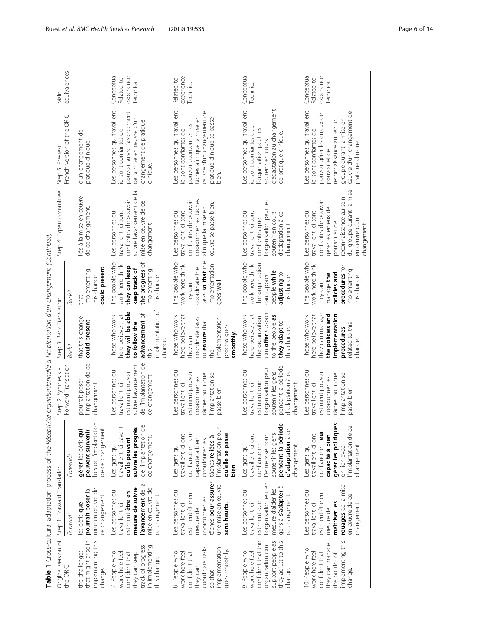|                                                                                                                                  |                                                                                                                                                    | Table 1 Cross-cultural adaptation process of the Réceptivité organisationnelle à l'implantation d'un changement (Continued)                                           |                                                                                                                                                           |                                                                                                                                             |                                                                                                                               |                                                                                                                                                                                                  |                                                                                                                                                                                                                  |                                                            |
|----------------------------------------------------------------------------------------------------------------------------------|----------------------------------------------------------------------------------------------------------------------------------------------------|-----------------------------------------------------------------------------------------------------------------------------------------------------------------------|-----------------------------------------------------------------------------------------------------------------------------------------------------------|---------------------------------------------------------------------------------------------------------------------------------------------|-------------------------------------------------------------------------------------------------------------------------------|--------------------------------------------------------------------------------------------------------------------------------------------------------------------------------------------------|------------------------------------------------------------------------------------------------------------------------------------------------------------------------------------------------------------------|------------------------------------------------------------|
| Original version of                                                                                                              | Step 1: Forward Translation                                                                                                                        |                                                                                                                                                                       | Step 2: Synthesis -<br>Forward Translation                                                                                                                | Step 3: Back Translation                                                                                                                    |                                                                                                                               | Step 4: Expert committee                                                                                                                                                                         | Step 5: Pre-test                                                                                                                                                                                                 | Main                                                       |
| the ORIC                                                                                                                         | Forward <sub>1</sub>                                                                                                                               | Forward <sub>2</sub>                                                                                                                                                  |                                                                                                                                                           | <b>Back1</b>                                                                                                                                | <b>Back2</b>                                                                                                                  |                                                                                                                                                                                                  | French version of the ORIC                                                                                                                                                                                       | equivalences                                               |
| implementing this<br>that might arise in<br>the challenges<br>change.                                                            | mise en œuvre de<br>pourrait poser la<br>ce changement.<br>les défis que                                                                           | 6<br>gérer les défis qui<br>peuvent survenir<br>de ce changement<br>ors de l'implantati                                                                               | උ<br>l'implantation de<br>pourrait poser<br>changement.                                                                                                   | that this change<br>could present                                                                                                           | could present.<br>implementing<br>this change<br>that                                                                         | liés à la mise en œuvre<br>de ce changement                                                                                                                                                      | d'un changement de<br>pratique clinique.                                                                                                                                                                         |                                                            |
| in implementing<br>track of progress<br>7. People who<br>work here feel<br>confident that<br>they can keep<br>this change.       | avancement de la<br>mesure de suivre<br>mise en œuvre de<br>Les personnes qui<br>estiment être en<br>ce changement.<br>travaillent ici             | de l'implantation de<br>travaillent ici savent<br>suivre les progrès<br>ce changement.<br>qu'ils peuvent<br>Les gens qui                                              | de l'implantation de<br>suivre l'avancement<br>Les personnes qui<br>estiment pouvoir<br>ce changement.<br>travaillent ici                                 | implementation of<br>they will be able<br>advancement of<br>here believe that<br>Those who work<br>to follow the<br>change.                 | The people who<br>the progress of<br>work here think<br>they can keep<br>keep track of<br>implementing<br>this change         | $\overline{\omega}$<br>suivre l'avancement de<br>confiantes de pouvoir<br>mise en œuvre de ce<br>Les personnes qui<br>travaillent ici sont<br>changement.                                        | Les personnes qui travaillent<br>pouvoir suivre l'avancement<br>de la mise en œuvre d'un<br>changement de pratique<br>ici sont confiantes de<br>clinique.                                                        | Conceptual<br>experience<br>Related to<br>Technical        |
| coordinate tasks<br>implementation<br>goes smoothly.<br>8. People who<br>work here feel<br>confident that<br>they can<br>so that | tâches pour assurer<br>une mise en œuvre<br>Les personnes qui<br>estiment être en<br>coordonner les<br>travaillent ici<br>sans heurts<br>mesure de | l'implantation pour<br>confiance en leur<br>qu'elle se passe<br>travaillent ici ont<br>tâches reliées à<br>capacité à bien<br>coordonner les<br>Les gens qui<br>bien. | Les personnes qui<br>estiment pouvoir<br>tâches pour que<br>'implantation se<br>coordonner les<br>travaillent ici<br>passe bien.                          | Those who work<br>here believe that<br>coordinate tasks<br>implementation<br>to ensure that<br>process goes<br>smoothly.<br>they can<br>the | tasks so that the<br>The people who<br>mplementation<br>work here think<br>coordinate the<br>goes well<br>they can            | coordonner les tâches<br>confiantes de pouvoir<br>œuvre se passe bien<br>afin que la mise en<br>Les personnes qui<br>travaillent ici sont                                                        | Les personnes qui travaillent<br>ceuvre d'un changement de<br>tâches afin que la mise en<br>pratique clinique se passe<br>pouvoir coordonner les<br>ici sont confiantes de<br>bien.                              | experience<br>Related to<br>Technical                      |
| confident that the<br>they adjust to this<br>support people as<br>organization can<br>9. People who<br>work here feel<br>change. | 'organisation est. en<br>Les personnes qui<br>mesure d'aider les<br>gens à s'adapter<br>ce changement.<br>estiment que<br>travaillent ici          | pendant la période<br>d'adaptation à ce<br>soutenir les gens<br>travaillent ici ont<br>l'entreprise pour<br>confiance en<br>changement.<br>Les gens qui               | pendant la période<br>organisation peut<br>Les personnes qui<br>Y<br>soutenir les gens<br>d'adaptation à<br>estiment que<br>changement<br>travaillent ici | can offer support<br>here believe that<br>Those who work<br>to the people as<br>the organization<br>they adapt to<br>this change.           | The people who<br>the organization<br>work here think<br>people while<br>adjusting to<br>can support<br>this change.          | l'organisation peut les<br>Les personnes qui<br>travaillent ici sont<br>soutenir en cours<br>confiantes que<br>d'adaptation à<br>changement                                                      | d'adaptation au changement<br>Les personnes qui travaillent<br>ici sont confiantes que<br>l'organisation peut les<br>de pratique clinique<br>soutenir en cours                                                   | Conceptual<br>Technical                                    |
| implementing this<br>they can manage<br>10. People who<br>confident that<br>work here feel<br>the politics of<br>change.         | rouages de la mise<br>Les personnes qui<br>E<br>en œuvre de ce<br>estiment être<br>maîtriser les<br>changement.<br>travaillent ici<br>mesure de    | gérer les politiques<br>l'implantation de ce<br>confiance en leur<br>travaillent ici ont<br>capacité à bien<br>changement<br>Les gens qui<br>en lien avec             | Les personnes qui<br>estiment pouvoir<br>tâches pour que<br>'implantation se<br>coordonner les<br>travaillent ici<br>passe bien.                          | they can manage<br>the policies and<br>implementation<br>here believe that<br>Those who work<br>related to this<br>procedures<br>change.    | The people who<br>work here think<br>procedures for<br>implementing<br>policies and<br>manage the<br>this change.<br>they can | du groupe durant la mise<br>reconnaissance au sein<br>confiantes de pouvoir<br>gérer les enjeux de<br>Les personnes qui<br>travaillent ici sont<br>en œuvre d'un<br>pouvoir et de<br>changement. | Les personnes qui travaillent<br>œuvre d'un changement de<br>pouvoir gérer les enjeux de<br>econnaissance au sein du<br>groupe durant la mise en<br>ici sont confiantes de<br>pratique clinique<br>pouvoir et de | Conceptual<br>experience<br>Related to<br><b>Technical</b> |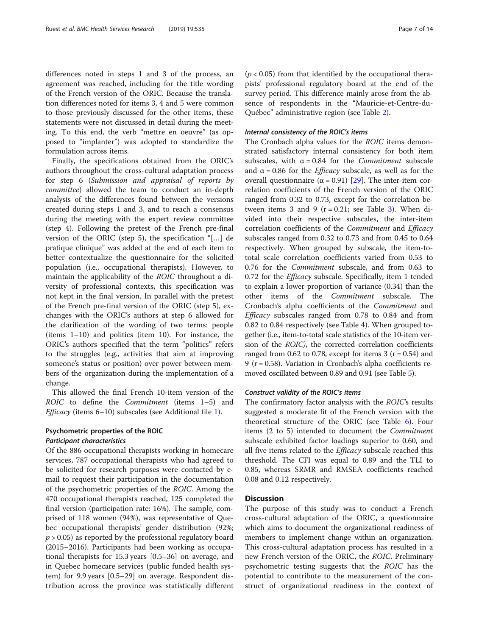differences noted in steps 1 and 3 of the process, an agreement was reached, including for the title wording of the French version of the ORIC. Because the translation differences noted for items 3, 4 and 5 were common to those previously discussed for the other items, these statements were not discussed in detail during the meeting. To this end, the verb "mettre en oeuvre" (as opposed to "implanter") was adopted to standardize the formulation across items.

Finally, the specifications obtained from the ORIC's authors throughout the cross-cultural adaptation process for step 6 (Submission and appraisal of reports by committee) allowed the team to conduct an in-depth analysis of the differences found between the versions created during steps 1 and 3, and to reach a consensus during the meeting with the expert review committee (step 4). Following the pretest of the French pre-final version of the ORIC (step 5), the specification "[…] de pratique clinique" was added at the end of each item to better contextualize the questionnaire for the solicited population (i.e., occupational therapists). However, to maintain the applicability of the ROIC throughout a diversity of professional contexts, this specification was not kept in the final version. In parallel with the pretest of the French pre-final version of the ORIC (step 5), exchanges with the ORIC's authors at step 6 allowed for the clarification of the wording of two terms: people (items 1–10) and politics (item 10). For instance, the ORIC's authors specified that the term "politics" refers to the struggles (e.g., activities that aim at improving someone's status or position) over power between members of the organization during the implementation of a change.

This allowed the final French 10-item version of the ROIC to define the Commitment (items 1–5) and Efficacy (items 6–10) subscales (see Additional file [1](#page-11-0)).

# Psychometric properties of the ROIC Participant characteristics

Of the 886 occupational therapists working in homecare services, 787 occupational therapists who had agreed to be solicited for research purposes were contacted by email to request their participation in the documentation of the psychometric properties of the ROIC. Among the 470 occupational therapists reached, 125 completed the final version (participation rate: 16%). The sample, comprised of 118 women (94%), was representative of Quebec occupational therapists' gender distribution (92%;  $p > 0.05$ ) as reported by the professional regulatory board (2015–2016). Participants had been working as occupational therapists for 15.3 years [0.5–36] on average, and in Quebec homecare services (public funded health system) for 9.9 years [0.5–29] on average. Respondent distribution across the province was statistically different

 $(p < 0.05)$  from that identified by the occupational therapists' professional regulatory board at the end of the survey period. This difference mainly arose from the absence of respondents in the "Mauricie-et-Centre-du-Québec" administrative region (see Table [2](#page-7-0)).

# Internal consistency of the ROIC's items

The Cronbach alpha values for the ROIC items demonstrated satisfactory internal consistency for both item subscales, with  $\alpha = 0.84$  for the *Commitment* subscale and  $\alpha$  = 0.86 for the *Efficacy* subscale, as well as for the overall questionnaire ( $α = 0.91$ ) [\[29](#page-13-0)]. The inter-item correlation coefficients of the French version of the ORIC ranged from 0.32 to 0.73, except for the correlation between items 3 and 9 ( $r = 0.21$ ; see Table [3\)](#page-8-0). When divided into their respective subscales, the inter-item correlation coefficients of the Commitment and Efficacy subscales ranged from 0.32 to 0.73 and from 0.45 to 0.64 respectively. When grouped by subscale, the item-tototal scale correlation coefficients varied from 0.53 to 0.76 for the Commitment subscale, and from 0.63 to 0.72 for the Efficacy subscale. Specifically, item 1 tended to explain a lower proportion of variance (0.34) than the other items of the Commitment subscale. The Cronbach's alpha coefficients of the Commitment and Efficacy subscales ranged from 0.78 to 0.84 and from 0.82 to 0.84 respectively (see Table [4\)](#page-8-0). When grouped together (i.e., item-to-total scale statistics of the 10-item version of the ROIC), the corrected correlation coefficients ranged from 0.62 to 0.78, except for items 3 ( $r = 0.54$ ) and 9 (r = 0.58). Variation in Cronbach's alpha coefficients removed oscillated between 0.89 and 0.91 (see Table [5](#page-9-0)).

# Construct validity of the ROIC's items

The confirmatory factor analysis with the ROIC's results suggested a moderate fit of the French version with the theoretical structure of the ORIC (see Table [6\)](#page-9-0). Four items (2 to 5) intended to document the Commitment subscale exhibited factor loadings superior to 0.60, and all five items related to the *Efficacy* subscale reached this threshold. The CFI was equal to 0.89 and the TLI to 0.85, whereas SRMR and RMSEA coefficients reached 0.08 and 0.12 respectively.

# **Discussion**

The purpose of this study was to conduct a French cross-cultural adaptation of the ORIC, a questionnaire which aims to document the organizational readiness of members to implement change within an organization. This cross-cultural adaptation process has resulted in a new French version of the ORIC, the ROIC. Preliminary psychometric testing suggests that the ROIC has the potential to contribute to the measurement of the construct of organizational readiness in the context of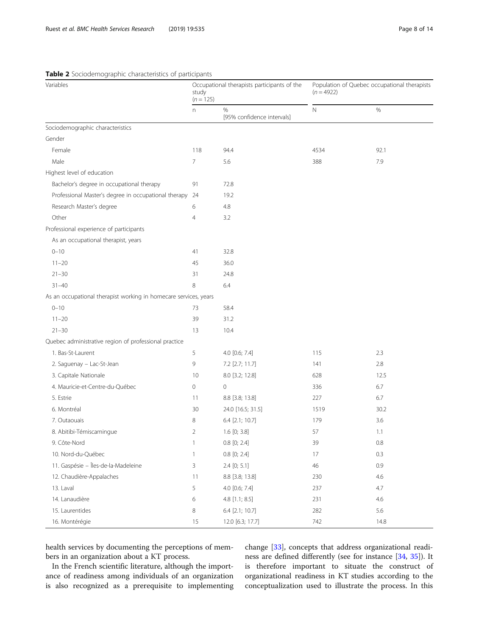# <span id="page-7-0"></span>Table 2 Sociodemographic characteristics of participants

| Variables                                                        |        | Occupational therapists participants of the<br>study<br>$(n = 125)$ |            | Population of Quebec occupational therapists<br>$(n = 4922)$ |  |
|------------------------------------------------------------------|--------|---------------------------------------------------------------------|------------|--------------------------------------------------------------|--|
|                                                                  | n      | %<br>[95% confidence intervals]                                     | $\hbox{N}$ | $\%$                                                         |  |
| Sociodemographic characteristics                                 |        |                                                                     |            |                                                              |  |
| Gender                                                           |        |                                                                     |            |                                                              |  |
| Female                                                           | 118    | 94.4                                                                | 4534       | 92.1                                                         |  |
| Male                                                             | 7      | 5.6                                                                 | 388        | 7.9                                                          |  |
| Highest level of education                                       |        |                                                                     |            |                                                              |  |
| Bachelor's degree in occupational therapy                        | 91     | 72.8                                                                |            |                                                              |  |
| Professional Master's degree in occupational therapy 24          |        | 19.2                                                                |            |                                                              |  |
| Research Master's degree                                         | 6      | 4.8                                                                 |            |                                                              |  |
| Other                                                            | 4      | 3.2                                                                 |            |                                                              |  |
| Professional experience of participants                          |        |                                                                     |            |                                                              |  |
| As an occupational therapist, years                              |        |                                                                     |            |                                                              |  |
| $0 - 10$                                                         | 41     | 32.8                                                                |            |                                                              |  |
| $11 - 20$                                                        | 45     | 36.0                                                                |            |                                                              |  |
| $21 - 30$                                                        | 31     | 24.8                                                                |            |                                                              |  |
| $31 - 40$                                                        | 8      | 6.4                                                                 |            |                                                              |  |
| As an occupational therapist working in homecare services, years |        |                                                                     |            |                                                              |  |
| $0 - 10$                                                         | 73     | 58.4                                                                |            |                                                              |  |
| $11 - 20$                                                        | 39     | 31.2                                                                |            |                                                              |  |
| $21 - 30$                                                        | 13     | 10.4                                                                |            |                                                              |  |
| Quebec administrative region of professional practice            |        |                                                                     |            |                                                              |  |
| 1. Bas-St-Laurent                                                | 5      | 4.0 [0.6; 7.4]                                                      | 115        | 2.3                                                          |  |
| 2. Saguenay - Lac-St-Jean                                        | 9      | 7.2 [2.7; 11.7]                                                     | 141        | 2.8                                                          |  |
| 3. Capitale Nationale                                            | 10     | 8.0 [3.2; 12.8]                                                     | 628        | 12.5                                                         |  |
| 4. Mauricie-et-Centre-du-Québec                                  | 0      | $\mathbf 0$                                                         | 336        | 6.7                                                          |  |
| 5. Estrie                                                        | 11     | 8.8 [3.8; 13.8]                                                     | 227        | 6.7                                                          |  |
| 6. Montréal                                                      | 30     | 24.0 [16.5; 31.5]                                                   | 1519       | 30.2                                                         |  |
| 7. Outaouais                                                     | 8      | 6.4 [2.1; 10.7]                                                     | 179        | 3.6                                                          |  |
| 8. Abitibi-Témiscamingue                                         | 2      | 1.6 [0; 3.8]                                                        | 57         | 1.1                                                          |  |
| 9. Côte-Nord                                                     | 1      | $0.8$ [0; 2.4]                                                      | 39         | 0.8                                                          |  |
| 10. Nord-du-Québec                                               | 1      | $0.8$ [0; 2.4]                                                      | 17         | 0.3                                                          |  |
| 11. Gaspésie - Îles-de-la-Madeleine                              | 3      | 2.4 [0; 5.1]                                                        | 46         | 0.9                                                          |  |
| 12. Chaudière-Appalaches                                         | 11     | 8.8 [3.8; 13.8]                                                     | 230        | 4.6                                                          |  |
| 13. Laval                                                        | 5      | 4.0 [0.6; 7.4]                                                      | 237        | 4.7                                                          |  |
| 14. Lanaudière                                                   | 6      | 4.8 [1.1; 8.5]                                                      | 231        | 4.6                                                          |  |
| 15. Laurentides                                                  | 8      | 6.4 [2.1; 10.7]                                                     | 282        | 5.6                                                          |  |
| 16. Montérégie                                                   | $15\,$ | 12.0 [6.3; 17.7]                                                    | 742        | 14.8                                                         |  |

health services by documenting the perceptions of members in an organization about a KT process.

In the French scientific literature, although the importance of readiness among individuals of an organization is also recognized as a prerequisite to implementing change [\[33](#page-13-0)], concepts that address organizational readiness are defined differently (see for instance [[34,](#page-13-0) [35](#page-13-0)]). It is therefore important to situate the construct of organizational readiness in KT studies according to the conceptualization used to illustrate the process. In this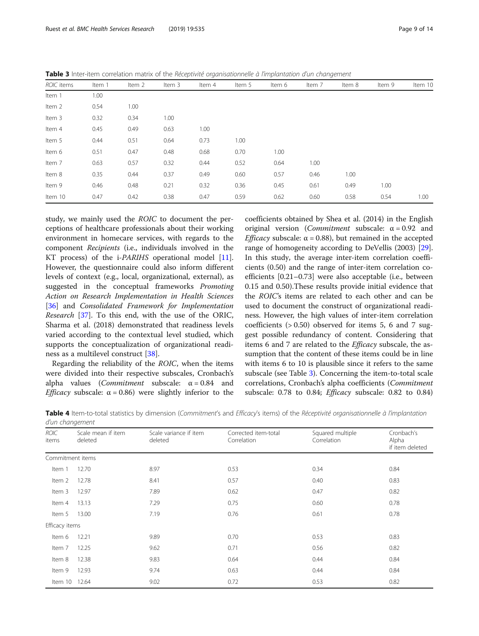| ROIC items | Item 1 | Item 2 | Item 3 | Item 4 | Item 5 | Item 6 | Item 7 | Item 8 | Item 9 | Item 10 |
|------------|--------|--------|--------|--------|--------|--------|--------|--------|--------|---------|
| Item 1     | 1.00   |        |        |        |        |        |        |        |        |         |
| Item 2     | 0.54   | 1.00   |        |        |        |        |        |        |        |         |
| Item 3     | 0.32   | 0.34   | 1.00   |        |        |        |        |        |        |         |
| Item 4     | 0.45   | 0.49   | 0.63   | 1.00   |        |        |        |        |        |         |
| Item 5     | 0.44   | 0.51   | 0.64   | 0.73   | 1.00   |        |        |        |        |         |
| Item 6     | 0.51   | 0.47   | 0.48   | 0.68   | 0.70   | 1.00   |        |        |        |         |
| Item 7     | 0.63   | 0.57   | 0.32   | 0.44   | 0.52   | 0.64   | 1.00   |        |        |         |
| Item 8     | 0.35   | 0.44   | 0.37   | 0.49   | 0.60   | 0.57   | 0.46   | 1.00   |        |         |
| Item 9     | 0.46   | 0.48   | 0.21   | 0.32   | 0.36   | 0.45   | 0.61   | 0.49   | 1.00   |         |
| Item 10    | 0.47   | 0.42   | 0.38   | 0.47   | 0.59   | 0.62   | 0.60   | 0.58   | 0.54   | 1.00    |

<span id="page-8-0"></span>Table 3 Inter-item correlation matrix of the Réceptivité organisationnelle à l'implantation d'un changement

study, we mainly used the ROIC to document the perceptions of healthcare professionals about their working environment in homecare services, with regards to the component Recipients (i.e., individuals involved in the KT process) of the i-PARIHS operational model [\[11](#page-12-0)]. However, the questionnaire could also inform different levels of context (e.g., local, organizational, external), as suggested in the conceptual frameworks Promoting Action on Research Implementation in Health Sciences [[36\]](#page-13-0) and Consolidated Framework for Implementation Research [\[37\]](#page-13-0). To this end, with the use of the ORIC, Sharma et al. (2018) demonstrated that readiness levels varied according to the contextual level studied, which supports the conceptualization of organizational readiness as a multilevel construct [\[38](#page-13-0)].

Regarding the reliability of the ROIC, when the items were divided into their respective subscales, Cronbach's alpha values (*Commitment* subscale:  $\alpha = 0.84$  and *Efficacy* subscale:  $\alpha = 0.86$ ) were slightly inferior to the coefficients obtained by Shea et al. (2014) in the English original version (*Commitment* subscale:  $\alpha = 0.92$  and *Efficacy* subscale:  $\alpha$  = 0.88), but remained in the accepted range of homogeneity according to DeVellis (2003) [\[29](#page-13-0)]. In this study, the average inter-item correlation coefficients (0.50) and the range of inter-item correlation coefficients [0.21–0.73] were also acceptable (i.e., between 0.15 and 0.50).These results provide initial evidence that the ROIC's items are related to each other and can be used to document the construct of organizational readiness. However, the high values of inter-item correlation coefficients (> 0.50) observed for items 5, 6 and 7 suggest possible redundancy of content. Considering that items 6 and 7 are related to the *Efficacy* subscale, the assumption that the content of these items could be in line with items 6 to 10 is plausible since it refers to the same subscale (see Table 3). Concerning the item-to-total scale correlations, Cronbach's alpha coefficients (Commitment subscale: 0.78 to 0.84; *Efficacy* subscale: 0.82 to 0.84)

Table 4 Item-to-total statistics by dimension (Commitment's and Efficacy's items) of the Réceptivité organisationnelle à l'implantation d'un changement

| a ann annan i gannan i c |                               |                                   |                                     |                                 |                                        |
|--------------------------|-------------------------------|-----------------------------------|-------------------------------------|---------------------------------|----------------------------------------|
| <b>ROIC</b><br>items     | Scale mean if item<br>deleted | Scale variance if item<br>deleted | Corrected item-total<br>Correlation | Squared multiple<br>Correlation | Cronbach's<br>Alpha<br>if item deleted |
| Commitment items         |                               |                                   |                                     |                                 |                                        |
| Item 1                   | 12.70                         | 8.97                              | 0.53                                | 0.34                            | 0.84                                   |
| Item 2                   | 12.78                         | 8.41                              | 0.57                                | 0.40                            | 0.83                                   |
| Item 3                   | 12.97                         | 7.89                              | 0.62                                | 0.47                            | 0.82                                   |
| Item 4                   | 13.13                         | 7.29                              | 0.75                                | 0.60                            | 0.78                                   |
| Item 5                   | 13.00                         | 7.19                              | 0.76                                | 0.61                            | 0.78                                   |
| Efficacy items           |                               |                                   |                                     |                                 |                                        |
| Item 6                   | 12.21                         | 9.89                              | 0.70                                | 0.53                            | 0.83                                   |
| Item 7                   | 12.25                         | 9.62                              | 0.71                                | 0.56                            | 0.82                                   |
| Item 8                   | 12.38                         | 9.83                              | 0.64                                | 0.44                            | 0.84                                   |
| Item 9                   | 12.93                         | 9.74                              | 0.63                                | 0.44                            | 0.84                                   |
| Item 10 12.64            |                               | 9.02                              | 0.72                                | 0.53                            | 0.82                                   |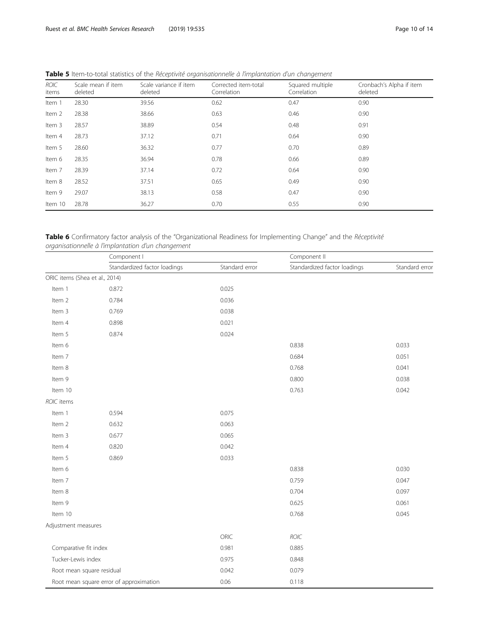| ROIC<br>items | Scale mean if item<br>deleted | Scale variance if item<br>deleted | Corrected item-total<br>Correlation | Squared multiple<br>Correlation | Cronbach's Alpha if item<br>deleted |
|---------------|-------------------------------|-----------------------------------|-------------------------------------|---------------------------------|-------------------------------------|
| Item 1        | 28.30                         | 39.56                             | 0.62                                | 0.47                            | 0.90                                |
| Item 2        | 28.38                         | 38.66                             | 0.63                                | 0.46                            | 0.90                                |
| Item 3        | 28.57                         | 38.89                             | 0.54                                | 0.48                            | 0.91                                |
| Item 4        | 28.73                         | 37.12                             | 0.71                                | 0.64                            | 0.90                                |
| Item 5        | 28.60                         | 36.32                             | 0.77                                | 0.70                            | 0.89                                |
| Item 6        | 28.35                         | 36.94                             | 0.78                                | 0.66                            | 0.89                                |
| Item 7        | 28.39                         | 37.14                             | 0.72                                | 0.64                            | 0.90                                |
| Item 8        | 28.52                         | 37.51                             | 0.65                                | 0.49                            | 0.90                                |
| Item 9        | 29.07                         | 38.13                             | 0.58                                | 0.47                            | 0.90                                |
| Item 10       | 28.78                         | 36.27                             | 0.70                                | 0.55                            | 0.90                                |

<span id="page-9-0"></span>Table 5 Item-to-total statistics of the Réceptivité organisationnelle à l'implantation d'un changement

Table 6 Confirmatory factor analysis of the "Organizational Readiness for Implementing Change" and the Réceptivité organisationnelle à l'implantation d'un changement

|                                | Component I                             |                | Component II                 |                |
|--------------------------------|-----------------------------------------|----------------|------------------------------|----------------|
|                                | Standardized factor loadings            | Standard error | Standardized factor loadings | Standard error |
| ORIC items (Shea et al., 2014) |                                         |                |                              |                |
| Item 1                         | 0.872                                   | 0.025          |                              |                |
| Item 2                         | 0.784                                   | 0.036          |                              |                |
| Item 3                         | 0.769                                   | 0.038          |                              |                |
| Item 4                         | 0.898                                   | 0.021          |                              |                |
| Item 5                         | 0.874                                   | 0.024          |                              |                |
| Item 6                         |                                         |                | 0.838                        | 0.033          |
| Item 7                         |                                         |                | 0.684                        | 0.051          |
| Item 8                         |                                         |                | 0.768                        | 0.041          |
| Item 9                         |                                         |                | 0.800                        | 0.038          |
| Item 10                        |                                         |                | 0.763                        | 0.042          |
| ROIC items                     |                                         |                |                              |                |
| Item 1                         | 0.594                                   | 0.075          |                              |                |
| Item 2                         | 0.632                                   | 0.063          |                              |                |
| Item 3                         | 0.677                                   | 0.065          |                              |                |
| Item 4                         | 0.820                                   | 0.042          |                              |                |
| Item 5                         | 0.869                                   | 0.033          |                              |                |
| Item 6                         |                                         |                | 0.838                        | 0.030          |
| Item 7                         |                                         |                | 0.759                        | 0.047          |
| Item 8                         |                                         |                | 0.704                        | 0.097          |
| Item 9                         |                                         |                | 0.625                        | 0.061          |
| Item 10                        |                                         |                | 0.768                        | 0.045          |
| Adjustment measures            |                                         |                |                              |                |
|                                |                                         | ORIC           | ROIC                         |                |
| Comparative fit index          |                                         | 0.981          | 0.885                        |                |
| Tucker-Lewis index             |                                         | 0.975          | 0.848                        |                |
| Root mean square residual      |                                         | 0.042          | 0.079                        |                |
|                                | Root mean square error of approximation | 0.06           | 0.118                        |                |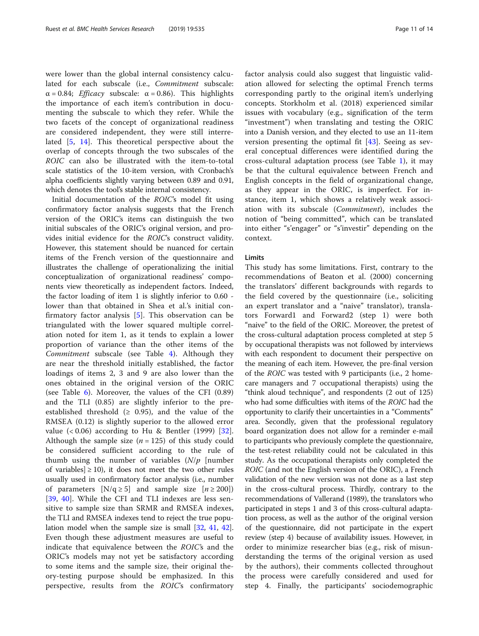were lower than the global internal consistency calculated for each subscale (i.e., Commitment subscale:  $\alpha = 0.84$ ; *Efficacy* subscale:  $\alpha = 0.86$ ). This highlights the importance of each item's contribution in documenting the subscale to which they refer. While the two facets of the concept of organizational readiness are considered independent, they were still interrelated [[5](#page-12-0), [14](#page-12-0)]. This theoretical perspective about the overlap of concepts through the two subscales of the ROIC can also be illustrated with the item-to-total scale statistics of the 10-item version, with Cronbach's alpha coefficients slightly varying between 0.89 and 0.91, which denotes the tool's stable internal consistency.

Initial documentation of the ROIC's model fit using confirmatory factor analysis suggests that the French version of the ORIC's items can distinguish the two initial subscales of the ORIC's original version, and provides initial evidence for the ROIC's construct validity. However, this statement should be nuanced for certain items of the French version of the questionnaire and illustrates the challenge of operationalizing the initial conceptualization of organizational readiness' components view theoretically as independent factors. Indeed, the factor loading of item 1 is slightly inferior to 0.60 lower than that obtained in Shea et al.'s initial confirmatory factor analysis [[5\]](#page-12-0). This observation can be triangulated with the lower squared multiple correlation noted for item 1, as it tends to explain a lower proportion of variance than the other items of the Commitment subscale (see Table [4](#page-8-0)). Although they are near the threshold initially established, the factor loadings of items 2, 3 and 9 are also lower than the ones obtained in the original version of the ORIC (see Table [6\)](#page-9-0). Moreover, the values of the CFI (0.89) and the TLI (0.85) are slightly inferior to the preestablished threshold  $(≥ 0.95)$ , and the value of the RMSEA (0.12) is slightly superior to the allowed error value  $( $0.06$ ) according to Hu & Bentler (1999) [32].$  $( $0.06$ ) according to Hu & Bentler (1999) [32].$  $( $0.06$ ) according to Hu & Bentler (1999) [32].$ Although the sample size  $(n = 125)$  of this study could be considered sufficient according to the rule of thumb using the number of variables  $(N/p)$  [number of variables]  $\geq$  10), it does not meet the two other rules usually used in confirmatory factor analysis (i.e., number of parameters  $[N/q \geq 5]$  and sample size  $[n \geq 200]$ [[39,](#page-13-0) [40](#page-13-0)]. While the CFI and TLI indexes are less sensitive to sample size than SRMR and RMSEA indexes, the TLI and RMSEA indexes tend to reject the true population model when the sample size is small [\[32,](#page-13-0) [41,](#page-13-0) [42](#page-13-0)]. Even though these adjustment measures are useful to indicate that equivalence between the ROIC's and the ORIC's models may not yet be satisfactory according to some items and the sample size, their original theory-testing purpose should be emphasized. In this perspective, results from the ROIC's confirmatory factor analysis could also suggest that linguistic validation allowed for selecting the optimal French terms corresponding partly to the original item's underlying concepts. Storkholm et al. (2018) experienced similar issues with vocabulary (e.g., signification of the term "investment") when translating and testing the ORIC into a Danish version, and they elected to use an 11-item version presenting the optimal fit [[43\]](#page-13-0). Seeing as several conceptual differences were identified during the cross-cultural adaptation process (see Table [1](#page-4-0)), it may be that the cultural equivalence between French and English concepts in the field of organizational change, as they appear in the ORIC, is imperfect. For instance, item 1, which shows a relatively weak association with its subscale (Commitment), includes the notion of "being committed", which can be translated into either "s'engager" or "s'investir" depending on the context.

# Limits

This study has some limitations. First, contrary to the recommendations of Beaton et al. (2000) concerning the translators' different backgrounds with regards to the field covered by the questionnaire (i.e., soliciting an expert translator and a "naive" translator), translators Forward1 and Forward2 (step 1) were both "naive" to the field of the ORIC. Moreover, the pretest of the cross-cultural adaptation process completed at step 5 by occupational therapists was not followed by interviews with each respondent to document their perspective on the meaning of each item. However, the pre-final version of the ROIC was tested with 9 participants (i.e., 2 homecare managers and 7 occupational therapists) using the "think aloud technique", and respondents (2 out of 125) who had some difficulties with items of the ROIC had the opportunity to clarify their uncertainties in a "Comments" area. Secondly, given that the professional regulatory board organization does not allow for a reminder e-mail to participants who previously complete the questionnaire, the test-retest reliability could not be calculated in this study. As the occupational therapists only completed the ROIC (and not the English version of the ORIC), a French validation of the new version was not done as a last step in the cross-cultural process. Thirdly, contrary to the recommendations of Vallerand (1989), the translators who participated in steps 1 and 3 of this cross-cultural adaptation process, as well as the author of the original version of the questionnaire, did not participate in the expert review (step 4) because of availability issues. However, in order to minimize researcher bias (e.g., risk of misunderstanding the terms of the original version as used by the authors), their comments collected throughout the process were carefully considered and used for step 4. Finally, the participants' sociodemographic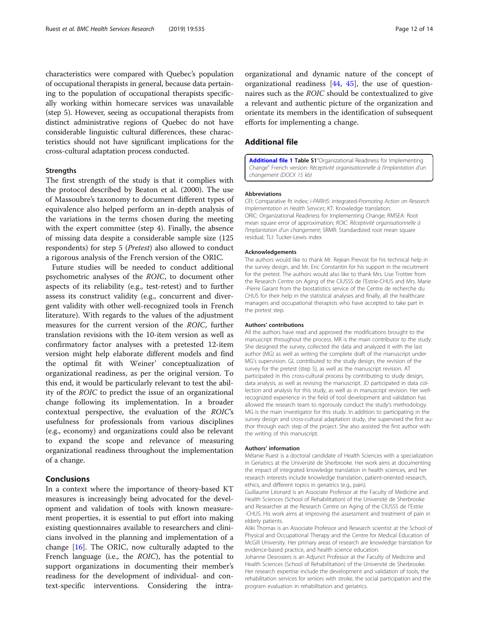<span id="page-11-0"></span>characteristics were compared with Quebec's population of occupational therapists in general, because data pertaining to the population of occupational therapists specifically working within homecare services was unavailable (step 5). However, seeing as occupational therapists from distinct administrative regions of Quebec do not have considerable linguistic cultural differences, these characteristics should not have significant implications for the cross-cultural adaptation process conducted.

# **Strengths**

The first strength of the study is that it complies with the protocol described by Beaton et al. (2000). The use of Massoubre's taxonomy to document different types of equivalence also helped perform an in-depth analysis of the variations in the terms chosen during the meeting with the expert committee (step 4). Finally, the absence of missing data despite a considerable sample size (125 respondents) for step 5 (Pretest) also allowed to conduct a rigorous analysis of the French version of the ORIC.

Future studies will be needed to conduct additional psychometric analyses of the ROIC, to document other aspects of its reliability (e.g., test-retest) and to further assess its construct validity (e.g., concurrent and divergent validity with other well-recognized tools in French literature). With regards to the values of the adjustment measures for the current version of the ROIC, further translation revisions with the 10-item version as well as confirmatory factor analyses with a pretested 12-item version might help elaborate different models and find the optimal fit with Weiner' conceptualization of organizational readiness, as per the original version. To this end, it would be particularly relevant to test the ability of the ROIC to predict the issue of an organizational change following its implementation. In a broader contextual perspective, the evaluation of the ROIC's usefulness for professionals from various disciplines (e.g., economy) and organizations could also be relevant to expand the scope and relevance of measuring organizational readiness throughout the implementation of a change.

# Conclusions

In a context where the importance of theory-based KT measures is increasingly being advocated for the development and validation of tools with known measurement properties, it is essential to put effort into making existing questionnaires available to researchers and clinicians involved in the planning and implementation of a change [[16\]](#page-12-0). The ORIC, now culturally adapted to the French language (i.e., the ROIC), has the potential to support organizations in documenting their member's readiness for the development of individual- and context-specific interventions. Considering the intraorganizational and dynamic nature of the concept of organizational readiness  $[44, 45]$  $[44, 45]$  $[44, 45]$  $[44, 45]$ , the use of questionnaires such as the ROIC should be contextualized to give a relevant and authentic picture of the organization and orientate its members in the identification of subsequent efforts for implementing a change.

# Additional file

[Additional file 1](https://doi.org/10.1186/s12913-019-4361-1) Table S1"Organizational Readiness for Implementing Change" French version: Réceptivité organisationnelle à l'implantation d'un changement (DOCX 15 kb)

#### Abbreviations

CFI: Comparative fit index; i-PARIHS: integrated-Promoting Action on Research Implementation in Health Services; KT: Knowledge translation; ORIC: Organizational Readiness for Implementing Change; RMSEA: Root mean square error of approximation; ROIC: Réceptivité organisationnelle à l'implantation d'un changement; SRMR: Standardized root mean square residual; TLI: Tucker-Lewis index

#### Acknowledgements

The authors would like to thank Mr. Rejean Prevost for his technical help in the survey design, and Mr. Eric Constantin for his support in the recuitment for the pretest. The authors would also like to thank Mrs. Lise Trottier from the Research Centre on Aging of the CIUSSS de l'Estrie-CHUS and Mrs. Marie -Pierre Garant from the biostatistics service of the Centre de recherche du CHUS for their help in the statistical analyses and finally, all the healthcare managers and occupational therapists who have accepted to take part in the pretest step.

#### Authors' contributions

All the authors have read and approved the modifications brought to the manuscript throughout the process. MR is the main contributor to the study. She designed the survey, collected the data and analyzed it with the last author (MG) as well as writing the complete draft of the manuscript under MG's supervision. GL contributed to the study design, the revision of the survey for the pretest (step 5), as well as the manuscript revision. AT participated in this cross-cultural process by contributing to study design, data analysis, as well as revising the manuscript. JD participated in data collection and analysis for this study, as well as in manuscript revision. Her wellrecognized experience in the field of tool development and validation has allowed the research team to rigorously conduct the study's methodology. MG is the main investigator for this study. In addition to participating in the survey design and cross-cultural adaptation study, she supervised the first author through each step of the project. She also assisted the first author with the writing of this manuscript.

#### Authors' information

Mélanie Ruest is a doctoral candidate of Health Sciences with a specialization in Geriatrics at the Université de Sherbrooke. Her work aims at documenting the impact of integrated knowledge translation in health sciences, and her research interests include knowledge translation, patient-oriented research, ethics, and different topics in geriatrics (e.g., pain).

Guillaume Léonard is an Associate Professor at the Faculty of Medicine and Health Sciences (School of Rehabilitation) of the Université de Sherbrooke and Researcher at the Research Centre on Aging of the CIUSSS de l'Estrie -CHUS. His work aims at improving the assessment and treatment of pain in elderly patients.

Aliki Thomas is an Associate Professor and Research scientist at the School of Physical and Occupational Therapy and the Centre for Medical Education of McGill University. Her primary areas of research are knowledge translation for evidence-based practice, and health science education.

Johanne Desrosiers is an Adjunct Professor at the Faculty of Medicine and Health Sciences (School of Rehabilitation) of the Université de Sherbrooke. Her research expertise include the development and validation of tools, the rehabilitation services for seniors with stroke, the social participation and the program evaluation in rehabilitation and geriatrics.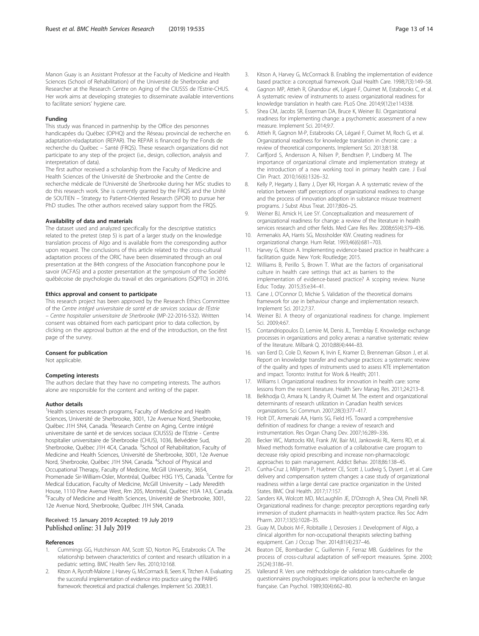<span id="page-12-0"></span>Manon Guay is an Assistant Professor at the Faculty of Medicine and Health Sciences (School of Rehabilitation) of the Université de Sherbrooke and Researcher at the Research Centre on Aging of the CIUSSS de l'Estrie-CHUS. Her work aims at developing strategies to disseminate available interventions to facilitate seniors' hygiene care.

#### Funding

This study was financed in partnership by the Office des personnes handicapées du Québec (OPHQ) and the Réseau provincial de recherche en adaptation-réadaptation (REPAR). The REPAR is financed by the Fonds de recherche du Québec – Santé (FRQS). These research organizations did not participate to any step of the project (i.e., design, collection, analysis and interpretation of data).

The first author received a scholarship from the Faculty of Medicine and Health Sciences of the Université de Sherbrooke and the Centre de recherche médicale de l'Université de Sherbrooke during her MSc studies to do this research work. She is currently granted by the FRQS and the Unité de SOUTIEN – Strategy to Patient-Oriented Research (SPOR) to pursue her PhD studies. The other authors received salary support from the FRQS.

#### Availability of data and materials

The dataset used and analyzed specifically for the descriptive statistics related to the pretest (step 5) is part of a larger study on the knowledge translation process of Algo and is available from the corresponding author upon request. The conclusions of this article related to the cross-cultural adaptation process of the ORIC have been disseminated through an oral presentation at the 84th congress of the Association francophone pour le savoir (ACFAS) and a poster presentation at the symposium of the Société québécoise de psychologie du travail et des organisations (SQPTO) in 2016.

#### Ethics approval and consent to participate

This research project has been approved by the Research Ethics Committee of the Centre intégré universitaire de santé et de services sociaux de l'Estrie – Centre hospitalier universitaire de Sherbrooke (MP-22-2016-532). Written consent was obtained from each participant prior to data collection, by clicking on the approval button at the end of the introduction, on the first page of the survey.

#### Consent for publication

Not applicable.

#### Competing interests

The authors declare that they have no competing interests. The authors alone are responsible for the content and writing of the paper.

#### Author details

<sup>1</sup> Health sciences research programs, Faculty of Medicine and Health Sciences, Université de Sherbrooke, 3001, 12e Avenue Nord, Sherbrooke, Québec J1H 5N4, Canada. <sup>2</sup>Research Centre on Aging, Centre intégré universitaire de santé et de services sociaux (CIUSSS) de l'Estrie - Centre hospitalier universitaire de Sherbrooke (CHUS), 1036, Belvédère Sud, Sherbrooke, Québec J1H 4C4, Canada. <sup>3</sup>School of Rehabilitation, Faculty of Medicine and Health Sciences, Université de Sherbrooke, 3001, 12e Avenue Nord, Sherbrooke, Québec J1H 5N4, Canada. <sup>4</sup>School of Physical and Occupational Therapy, Faculty of Medicine, McGill University, 3654, Promenade Sir-William-Osler, Montréal, Québec H3G 1Y5, Canada. <sup>5</sup>Centre for Medical Education, Faculty of Medicine, McGill University – Lady Meredith House, 1110 Pine Avenue West, Rm 205, Montréal, Québec H3A 1A3, Canada. <sup>6</sup>Faculty of Medicine and Health Sciences, Université de Sherbrooke, 3001, 12e Avenue Nord, Sherbrooke, Québec J1H 5N4, Canada.

#### Received: 15 January 2019 Accepted: 19 July 2019 Published online: 31 July 2019

#### References

- 1. Cummings GG, Hutchinson AM, Scott SD, Norton PG, Estabrooks CA. The relationship between characteristics of context and research utilization in a pediatric setting. BMC Health Serv Res. 2010;10:168.
- 2. Kitson A, Rycroft-Malone J, Harvey G, McCormack B, Seers K, Titchen A. Evaluating the successful implementation of evidence into practice using the PARiHS framework: theoretical and practical challenges. Implement Sci. 2008;3:1.
- 3. Kitson A, Harvey G, McCormack B. Enabling the implementation of evidence based practice: a conceptual framework. Qual Health Care. 1998;7(3):149–58.
- 4. Gagnon MP, Attieh R, Ghandour eK, Légaré F, Ouimet M, Estabrooks C, et al. A systematic review of instruments to assess organizational readiness for knowledge translation in health care. PLoS One. 2014;9(12):e114338.
- 5. Shea CM, Jacobs SR, Esserman DA, Bruce K, Weiner BJ. Organizational readiness for implementing change: a psychometric assessment of a new measure. Implement Sci. 2014;9:7.
- 6. Attieh R, Gagnon M-P, Estabrooks CA, Légaré F, Ouimet M, Roch G, et al. Organizational readiness for knowledge translation in chronic care : a review of theoretical components. Implement Sci. 2013;8:138.
- 7. Carlfjord S, Andersson A, Nilsen P, Bendtsen P, Lindberg M. The importance of organizational climate and implementation strategy at the introduction of a new working tool in primary health care. J Eval Clin Pract. 2010;16(6):1326–32.
- Kelly P, Hegarty J, Barry J, Dyer KR, Horgan A. A systematic review of the relation between staff perceptions of organizational readiness to change and the process of innovation adoption in substance misuse treatment programs. J Subst Abus Treat. 2017;80:6–25.
- 9. Weiner BJ, Amick H, Lee SY. Conceptualization and measurement of organizational readiness for change: a review of the literature in health services research and other fields. Med Care Res Rev. 2008;65(4):379–436.
- 10. Armenakis AA, Harris SG, Mossholder KW. Creating readiness for organizational change. Hum Relat. 1993;46(6):681–703.
- 11. Harvey G, Kitson A. Implementing evidence-based practice in healthcare: a facilitation guide. New York: Routledge; 2015.
- 12. Williams B, Perillo S, Brown T. What are the factors of organisational culture in health care settings that act as barriers to the implementation of evidence-based practice? A scoping review. Nurse Educ Today. 2015;35:e34–41.
- 13. Cane J, O'Connor D, Michie S. Validation of the theoretical domains framework for use in behaviour change and implementation research. Implement Sci. 2012;7:37.
- 14. Weiner BJ. A theory of organizational readiness for change. Implement Sci. 2009;4:67.
- 15. Contandriopoulos D, Lemire M, Denis JL, Tremblay E. Knowledge exchange processes in organizations and policy arenas: a narrative systematic review of the literature. Milbank Q. 2010;88(4):444–83.
- 16. van Eerd D, Cole D, Keown K, Irvin E, Kramer D, Brenneman Gibson J, et al. Report on knowledge transfer and exchange practices: a systematic review of the quality and types of instruments used to assess KTE implementation and impact. Toronto: Institut for Work & Health; 2011.
- 17. Williams I. Organizational readiness for innovation in health care: some lessons from the recent literature. Health Serv Manag Res. 2011;24:213–8.
- 18. Belkhodja O, Amara N, Landry R, Ouimet M. The extent and organizational determinants of research utilization in Canadian health services organizations. Sci Commun. 2007;28(3):377–417.
- 19. Holt DT, Armenaki AA, Harris SG, Field HS. Toward a comprehensive definition of readiness for change: a review of research and instrumentation. Res Organ Chang Dev. 2007;16:289–336.
- 20. Becker WC, Mattocks KM, Frank JW, Bair MJ, Jankowski RL, Kerns RD, et al. Mixed methods formative evaluation of a collaborative care program to decrease risky opioid prescribing and increase non-pharmacologic approaches to pain management. Addict Behav. 2018;86:138–45.
- 21. Cunha-Cruz J, Milgrom P, Huebner CE, Scott J, Ludwig S, Dysert J, et al. Care delivery and compensation system changes: a case study of organizational readiness within a large dental care practice organization in the United States. BMC Oral Health. 2017;17:157.
- 22. Sanders KA, Wolcott MD, McLaughlin JE, D'Ostroph A, Shea CM, Pinelli NR. Organizational readiness for change: preceptor perceptions regarding early immersion of student pharmacists in health-system practice. Res Soc Adm Pharm. 2017;13(5):1028–35.
- 23. Guay M, Dubois M-F, Robitaille J, Desrosiers J. Development of Algo, a clinical algorithm for non-occupational therapists selecting bathing equipment. Can J Occup Ther. 2014;81(4):237–46.
- 24. Beaton DE, Bombardier C, Guillemin F, Ferraz MB. Guidelines for the process of cross-cultural adaptation of self-report measures. Spine. 2000; 25(24):3186–91.
- 25. Vallerand R. Vers une méthodologie de validation trans-culturelle de questionnaires psychologiques: implications pour la recherche en langue française. Can Psychol. 1989;30(4):662–80.